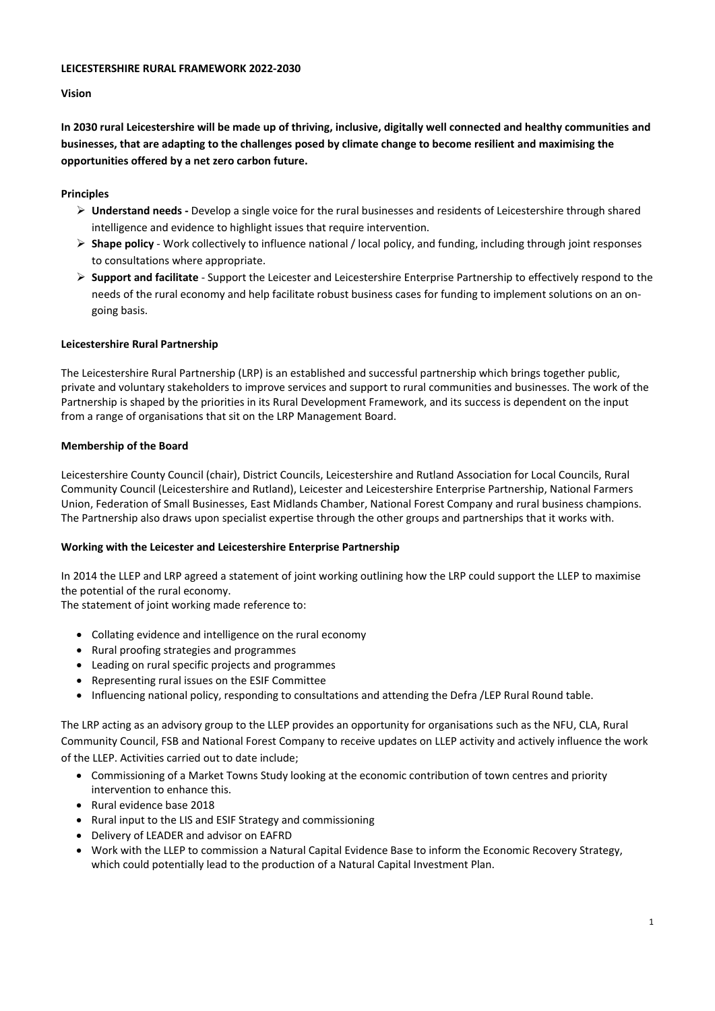1

### **LEICESTERSHIRE RURAL FRAMEWORK 2022-2030**

### **Vision**

**In 2030 rural Leicestershire will be made up of thriving, inclusive, digitally well connected and healthy communities and businesses, that are adapting to the challenges posed by climate change to become resilient and maximising the opportunities offered by a net zero carbon future.** 

# **Principles**

- ➢ **Understand needs -** Develop a single voice for the rural businesses and residents of Leicestershire through shared intelligence and evidence to highlight issues that require intervention.
- ➢ **Shape policy**  Work collectively to influence national / local policy, and funding, including through joint responses to consultations where appropriate.
- ➢ **Support and facilitate** Support the Leicester and Leicestershire Enterprise Partnership to effectively respond to the needs of the rural economy and help facilitate robust business cases for funding to implement solutions on an ongoing basis.

### **Leicestershire Rural Partnership**

The Leicestershire Rural Partnership (LRP) is an established and successful partnership which brings together public, private and voluntary stakeholders to improve services and support to rural communities and businesses. The work of the Partnership is shaped by the priorities in its Rural Development Framework, and its success is dependent on the input from a range of organisations that sit on the LRP Management Board.

# **Membership of the Board**

Leicestershire County Council (chair), District Councils, Leicestershire and Rutland Association for Local Councils, Rural Community Council (Leicestershire and Rutland), Leicester and Leicestershire Enterprise Partnership, National Farmers Union, Federation of Small Businesses, East Midlands Chamber, National Forest Company and rural business champions. The Partnership also draws upon specialist expertise through the other groups and partnerships that it works with.

# **Working with the Leicester and Leicestershire Enterprise Partnership**

In 2014 the LLEP and LRP agreed a statement of joint working outlining how the LRP could support the LLEP to maximise the potential of the rural economy.

The statement of joint working made reference to:

- Collating evidence and intelligence on the rural economy
- Rural proofing strategies and programmes
- Leading on rural specific projects and programmes
- Representing rural issues on the ESIF Committee
- Influencing national policy, responding to consultations and attending the Defra /LEP Rural Round table.

The LRP acting as an advisory group to the LLEP provides an opportunity for organisations such as the NFU, CLA, Rural Community Council, FSB and National Forest Company to receive updates on LLEP activity and actively influence the work of the LLEP. Activities carried out to date include;

- Commissioning of a Market Towns Study looking at the economic contribution of town centres and priority intervention to enhance this.
- Rural evidence base 2018
- Rural input to the LIS and ESIF Strategy and commissioning
- Delivery of LEADER and advisor on EAFRD
- Work with the LLEP to commission a Natural Capital Evidence Base to inform the Economic Recovery Strategy, which could potentially lead to the production of a Natural Capital Investment Plan.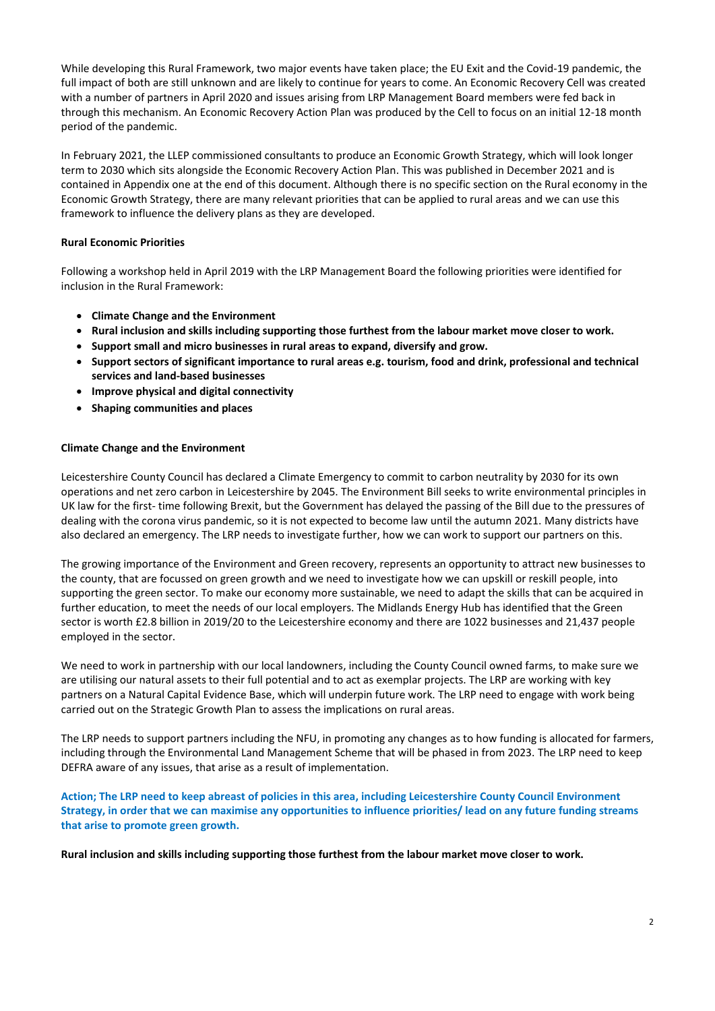While developing this Rural Framework, two major events have taken place; the EU Exit and the Covid-19 pandemic, the full impact of both are still unknown and are likely to continue for years to come. An Economic Recovery Cell was created with a number of partners in April 2020 and issues arising from LRP Management Board members were fed back in through this mechanism. An Economic Recovery Action Plan was produced by the Cell to focus on an initial 12-18 month period of the pandemic.

In February 2021, the LLEP commissioned consultants to produce an Economic Growth Strategy, which will look longer term to 2030 which sits alongside the Economic Recovery Action Plan. This was published in December 2021 and is contained in Appendix one at the end of this document. Although there is no specific section on the Rural economy in the Economic Growth Strategy, there are many relevant priorities that can be applied to rural areas and we can use this framework to influence the delivery plans as they are developed.

# **Rural Economic Priorities**

Following a workshop held in April 2019 with the LRP Management Board the following priorities were identified for inclusion in the Rural Framework:

- **Climate Change and the Environment**
- **Rural inclusion and skills including supporting those furthest from the labour market move closer to work.**
- **Support small and micro businesses in rural areas to expand, diversify and grow.**
- **Support sectors of significant importance to rural areas e.g. tourism, food and drink, professional and technical services and land-based businesses**
- **Improve physical and digital connectivity**
- **Shaping communities and places**

# **Climate Change and the Environment**

Leicestershire County Council has declared a Climate Emergency to commit to carbon neutrality by 2030 for its own operations and net zero carbon in Leicestershire by 2045. The Environment Bill seeks to write environmental principles in UK law for the first- time following Brexit, but the Government has delayed the passing of the Bill due to the pressures of dealing with the corona virus pandemic, so it is not expected to become law until the autumn 2021. Many districts have also declared an emergency. The LRP needs to investigate further, how we can work to support our partners on this.

The growing importance of the Environment and Green recovery, represents an opportunity to attract new businesses to the county, that are focussed on green growth and we need to investigate how we can upskill or reskill people, into supporting the green sector. To make our economy more sustainable, we need to adapt the skills that can be acquired in further education, to meet the needs of our local employers. The Midlands Energy Hub has identified that the Green sector is worth £2.8 billion in 2019/20 to the Leicestershire economy and there are 1022 businesses and 21,437 people employed in the sector.

We need to work in partnership with our local landowners, including the County Council owned farms, to make sure we are utilising our natural assets to their full potential and to act as exemplar projects. The LRP are working with key partners on a Natural Capital Evidence Base, which will underpin future work. The LRP need to engage with work being carried out on the Strategic Growth Plan to assess the implications on rural areas.

The LRP needs to support partners including the NFU, in promoting any changes as to how funding is allocated for farmers, including through the Environmental Land Management Scheme that will be phased in from 2023. The LRP need to keep

DEFRA aware of any issues, that arise as a result of implementation.

**Action; The LRP need to keep abreast of policies in this area, including Leicestershire County Council Environment Strategy, in order that we can maximise any opportunities to influence priorities/ lead on any future funding streams that arise to promote green growth.**

**Rural inclusion and skills including supporting those furthest from the labour market move closer to work.**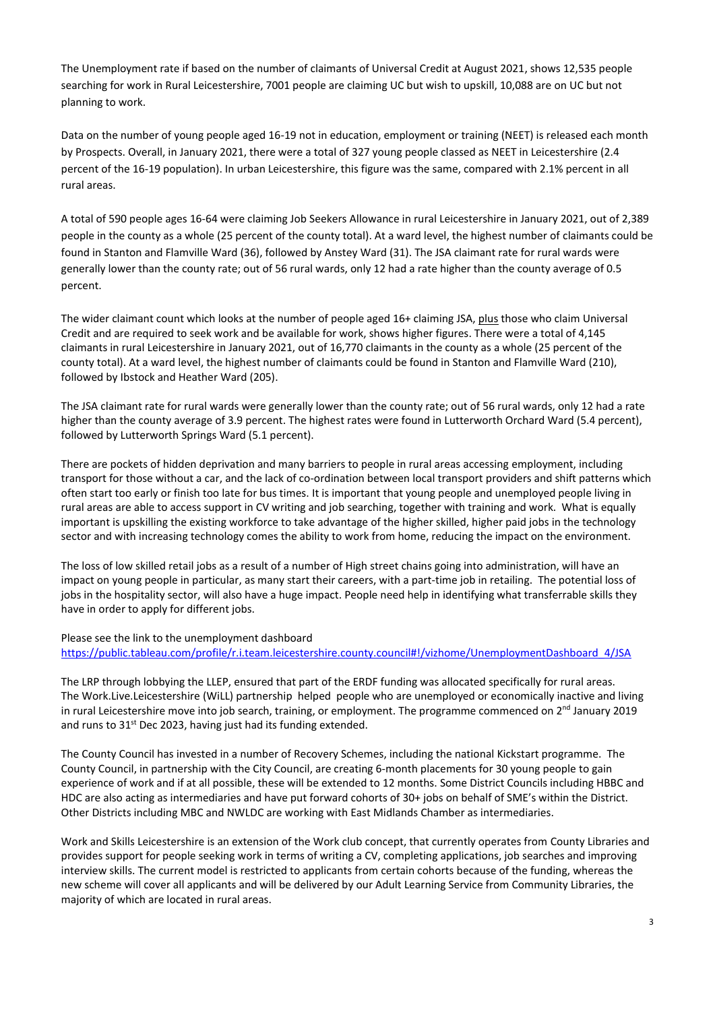The Unemployment rate if based on the number of claimants of Universal Credit at August 2021, shows 12,535 people searching for work in Rural Leicestershire, 7001 people are claiming UC but wish to upskill, 10,088 are on UC but not planning to work.

Data on the number of young people aged 16-19 not in education, employment or training (NEET) is released each month by Prospects. Overall, in January 2021, there were a total of 327 young people classed as NEET in Leicestershire (2.4 percent of the 16-19 population). In urban Leicestershire, this figure was the same, compared with 2.1% percent in all rural areas.

A total of 590 people ages 16-64 were claiming Job Seekers Allowance in rural Leicestershire in January 2021, out of 2,389 people in the county as a whole (25 percent of the county total). At a ward level, the highest number of claimants could be found in Stanton and Flamville Ward (36), followed by Anstey Ward (31). The JSA claimant rate for rural wards were generally lower than the county rate; out of 56 rural wards, only 12 had a rate higher than the county average of 0.5 percent.

The wider claimant count which looks at the number of people aged 16+ claiming JSA, plus those who claim Universal Credit and are required to seek work and be available for work, shows higher figures. There were a total of 4,145 claimants in rural Leicestershire in January 2021, out of 16,770 claimants in the county as a whole (25 percent of the county total). At a ward level, the highest number of claimants could be found in Stanton and Flamville Ward (210), followed by Ibstock and Heather Ward (205).

The LRP through lobbying the LLEP, ensured that part of the ERDF funding was allocated specifically for rural areas. The Work.Live.Leicestershire (WiLL) partnership helped people who are unemployed or economically inactive and living in rural Leicestershire move into job search, training, or employment. The programme commenced on 2<sup>nd</sup> January 2019 and runs to 31<sup>st</sup> Dec 2023, having just had its funding extended.

The JSA claimant rate for rural wards were generally lower than the county rate; out of 56 rural wards, only 12 had a rate higher than the county average of 3.9 percent. The highest rates were found in Lutterworth Orchard Ward (5.4 percent), followed by Lutterworth Springs Ward (5.1 percent).

There are pockets of hidden deprivation and many barriers to people in rural areas accessing employment, including transport for those without a car, and the lack of co-ordination between local transport providers and shift patterns which often start too early or finish too late for bus times. It is important that young people and unemployed people living in rural areas are able to access support in CV writing and job searching, together with training and work. What is equally important is upskilling the existing workforce to take advantage of the higher skilled, higher paid jobs in the technology sector and with increasing technology comes the ability to work from home, reducing the impact on the environment.

The loss of low skilled retail jobs as a result of a number of High street chains going into administration, will have an impact on young people in particular, as many start their careers, with a part-time job in retailing. The potential loss of jobs in the hospitality sector, will also have a huge impact. People need help in identifying what transferrable skills they have in order to apply for different jobs.

Please see the link to the unemployment dashboard [https://public.tableau.com/profile/r.i.team.leicestershire.county.council#!/vizhome/UnemploymentDashboard\\_4/JSA](https://public.tableau.com/profile/r.i.team.leicestershire.county.council#!/vizhome/UnemploymentDashboard_4/JSA)

The County Council has invested in a number of Recovery Schemes, including the national Kickstart programme. The

County Council, in partnership with the City Council, are creating 6-month placements for 30 young people to gain experience of work and if at all possible, these will be extended to 12 months. Some District Councils including HBBC and HDC are also acting as intermediaries and have put forward cohorts of 30+ jobs on behalf of SME's within the District. Other Districts including MBC and NWLDC are working with East Midlands Chamber as intermediaries.

Work and Skills Leicestershire is an extension of the Work club concept, that currently operates from County Libraries and provides support for people seeking work in terms of writing a CV, completing applications, job searches and improving interview skills. The current model is restricted to applicants from certain cohorts because of the funding, whereas the new scheme will cover all applicants and will be delivered by our Adult Learning Service from Community Libraries, the majority of which are located in rural areas.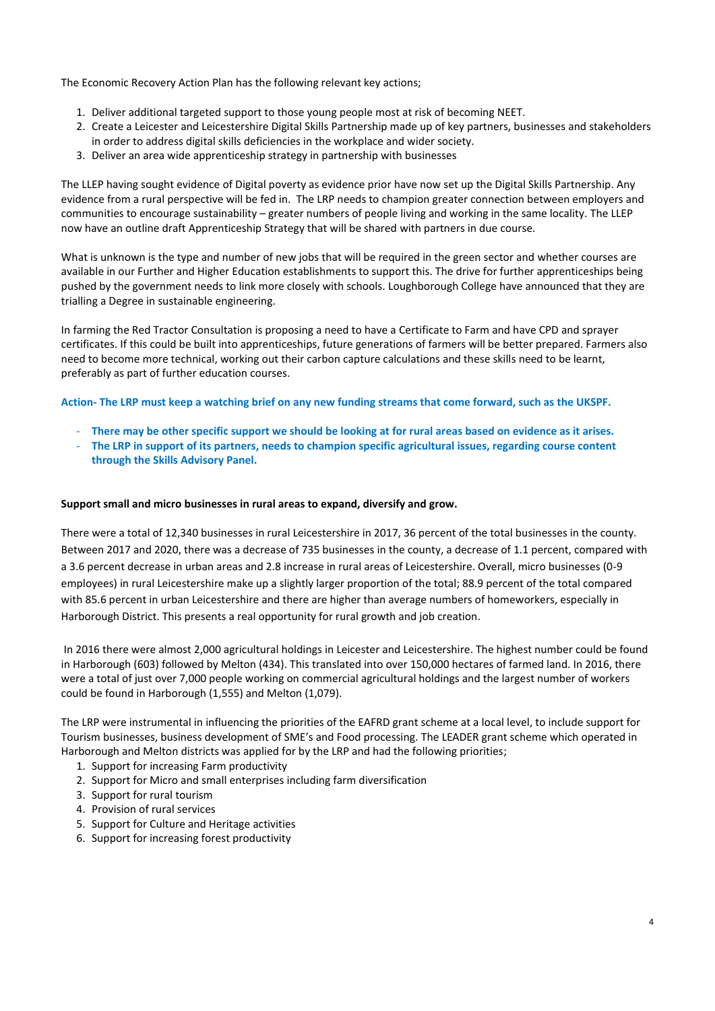The Economic Recovery Action Plan has the following relevant key actions;

- 1. Deliver additional targeted support to those young people most at risk of becoming NEET.
- 2. Create a Leicester and Leicestershire Digital Skills Partnership made up of key partners, businesses and stakeholders in order to address digital skills deficiencies in the workplace and wider society.
- 3. Deliver an area wide apprenticeship strategy in partnership with businesses

The LLEP having sought evidence of Digital poverty as evidence prior have now set up the Digital Skills Partnership. Any evidence from a rural perspective will be fed in. The LRP needs to champion greater connection between employers and communities to encourage sustainability – greater numbers of people living and working in the same locality. The LLEP now have an outline draft Apprenticeship Strategy that will be shared with partners in due course.

What is unknown is the type and number of new jobs that will be required in the green sector and whether courses are available in our Further and Higher Education establishments to support this. The drive for further apprenticeships being pushed by the government needs to link more closely with schools. Loughborough College have announced that they are trialling a Degree in sustainable engineering.

In farming the Red Tractor Consultation is proposing a need to have a Certificate to Farm and have CPD and sprayer certificates. If this could be built into apprenticeships, future generations of farmers will be better prepared. Farmers also need to become more technical, working out their carbon capture calculations and these skills need to be learnt, preferably as part of further education courses.

**Action- The LRP must keep a watching brief on any new funding streams that come forward, such as the UKSPF.**

- **There may be other specific support we should be looking at for rural areas based on evidence as it arises.**
- **The LRP in support of its partners, needs to champion specific agricultural issues, regarding course content through the Skills Advisory Panel.**

# **Support small and micro businesses in rural areas to expand, diversify and grow.**

There were a total of 12,340 businesses in rural Leicestershire in 2017, 36 percent of the total businesses in the county. Between 2017 and 2020, there was a decrease of 735 businesses in the county, a decrease of 1.1 percent, compared with a 3.6 percent decrease in urban areas and 2.8 increase in rural areas of Leicestershire. Overall, micro businesses (0-9 employees) in rural Leicestershire make up a slightly larger proportion of the total; 88.9 percent of the total compared with 85.6 percent in urban Leicestershire and there are higher than average numbers of homeworkers, especially in Harborough District. This presents a real opportunity for rural growth and job creation.

In 2016 there were almost 2,000 agricultural holdings in Leicester and Leicestershire. The highest number could be found in Harborough (603) followed by Melton (434). This translated into over 150,000 hectares of farmed land. In 2016, there were a total of just over 7,000 people working on commercial agricultural holdings and the largest number of workers could be found in Harborough (1,555) and Melton (1,079).

The LRP were instrumental in influencing the priorities of the EAFRD grant scheme at a local level, to include support for Tourism businesses, business development of SME's and Food processing. The LEADER grant scheme which operated in Harborough and Melton districts was applied for by the LRP and had the following priorities;

- 1. Support for increasing Farm productivity
- 2. Support for Micro and small enterprises including farm diversification
- 3. Support for rural tourism
- 4. Provision of rural services
- 5. Support for Culture and Heritage activities
- 6. Support for increasing forest productivity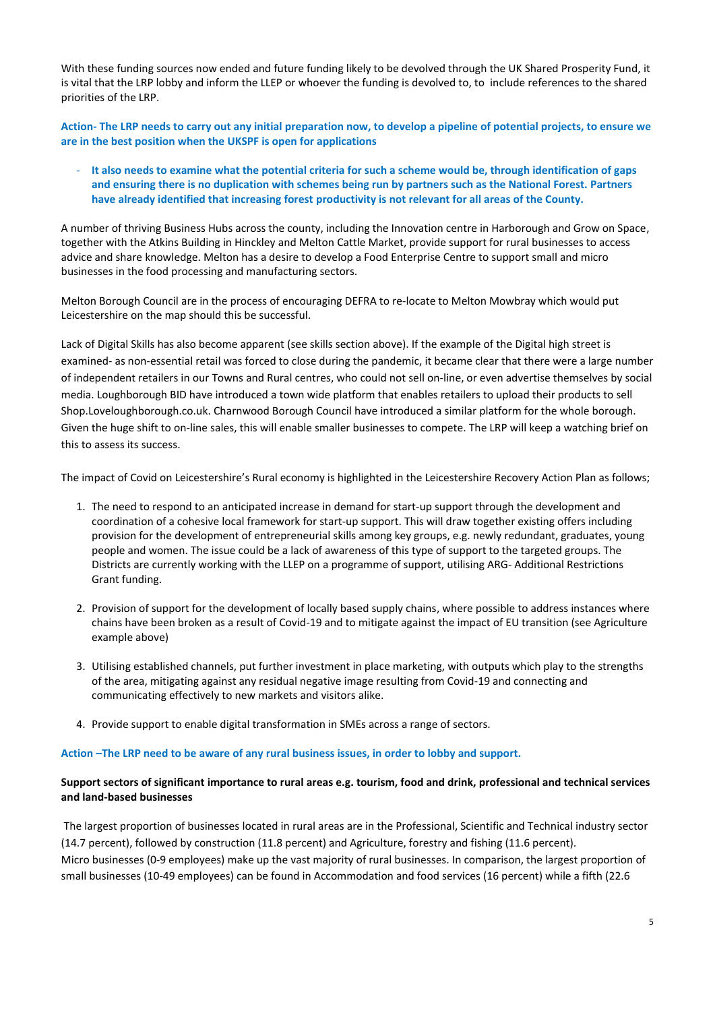With these funding sources now ended and future funding likely to be devolved through the UK Shared Prosperity Fund, it is vital that the LRP lobby and inform the LLEP or whoever the funding is devolved to, to include references to the shared priorities of the LRP.

**Action- The LRP needs to carry out any initial preparation now, to develop a pipeline of potential projects, to ensure we are in the best position when the UKSPF is open for applications**

- **It also needs to examine what the potential criteria for such a scheme would be, through identification of gaps and ensuring there is no duplication with schemes being run by partners such as the National Forest. Partners have already identified that increasing forest productivity is not relevant for all areas of the County.**

A number of thriving Business Hubs across the county, including the Innovation centre in Harborough and Grow on Space, together with the Atkins Building in Hinckley and Melton Cattle Market, provide support for rural businesses to access advice and share knowledge. Melton has a desire to develop a Food Enterprise Centre to support small and micro businesses in the food processing and manufacturing sectors.

Melton Borough Council are in the process of encouraging DEFRA to re-locate to Melton Mowbray which would put Leicestershire on the map should this be successful.

Lack of Digital Skills has also become apparent (see skills section above). If the example of the Digital high street is examined- as non-essential retail was forced to close during the pandemic, it became clear that there were a large number of independent retailers in our Towns and Rural centres, who could not sell on-line, or even advertise themselves by social media. Loughborough BID have introduced a town wide platform that enables retailers to upload their products to sell Shop.Loveloughborough.co.uk. Charnwood Borough Council have introduced a similar platform for the whole borough. Given the huge shift to on-line sales, this will enable smaller businesses to compete. The LRP will keep a watching brief on this to assess its success.

The impact of Covid on Leicestershire's Rural economy is highlighted in the Leicestershire Recovery Action Plan as follows;

- 1. The need to respond to an anticipated increase in demand for start-up support through the development and coordination of a cohesive local framework for start-up support. This will draw together existing offers including provision for the development of entrepreneurial skills among key groups, e.g. newly redundant, graduates, young people and women. The issue could be a lack of awareness of this type of support to the targeted groups. The Districts are currently working with the LLEP on a programme of support, utilising ARG- Additional Restrictions Grant funding.
- 2. Provision of support for the development of locally based supply chains, where possible to address instances where chains have been broken as a result of Covid-19 and to mitigate against the impact of EU transition (see Agriculture example above)
- 3. Utilising established channels, put further investment in place marketing, with outputs which play to the strengths of the area, mitigating against any residual negative image resulting from Covid-19 and connecting and communicating effectively to new markets and visitors alike.
- 4. Provide support to enable digital transformation in SMEs across a range of sectors.

# **Action –The LRP need to be aware of any rural business issues, in order to lobby and support.**

**Support sectors of significant importance to rural areas e.g. tourism, food and drink, professional and technical services and land-based businesses**

The largest proportion of businesses located in rural areas are in the Professional, Scientific and Technical industry sector (14.7 percent), followed by construction (11.8 percent) and Agriculture, forestry and fishing (11.6 percent). Micro businesses (0-9 employees) make up the vast majority of rural businesses. In comparison, the largest proportion of small businesses (10-49 employees) can be found in Accommodation and food services (16 percent) while a fifth (22.6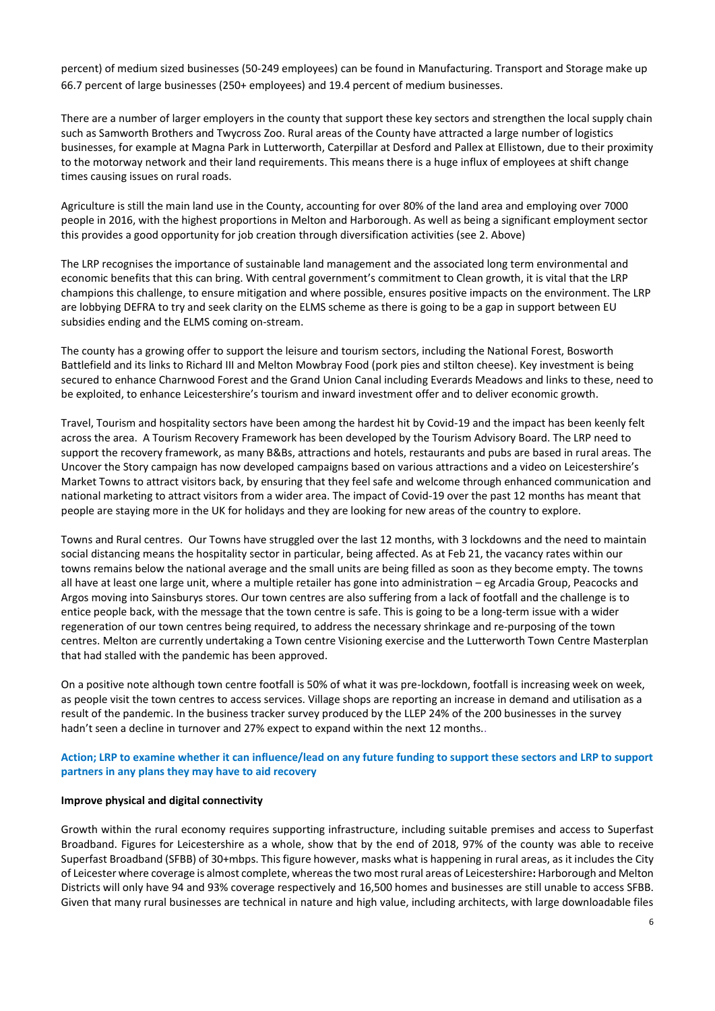percent) of medium sized businesses (50-249 employees) can be found in Manufacturing. Transport and Storage make up 66.7 percent of large businesses (250+ employees) and 19.4 percent of medium businesses.

There are a number of larger employers in the county that support these key sectors and strengthen the local supply chain such as Samworth Brothers and Twycross Zoo. Rural areas of the County have attracted a large number of logistics businesses, for example at Magna Park in Lutterworth, Caterpillar at Desford and Pallex at Ellistown, due to their proximity to the motorway network and their land requirements. This means there is a huge influx of employees at shift change times causing issues on rural roads.

Agriculture is still the main land use in the County, accounting for over 80% of the land area and employing over 7000 people in 2016, with the highest proportions in Melton and Harborough. As well as being a significant employment sector this provides a good opportunity for job creation through diversification activities (see 2. Above)

The LRP recognises the importance of sustainable land management and the associated long term environmental and economic benefits that this can bring. With central government's commitment to Clean growth, it is vital that the LRP champions this challenge, to ensure mitigation and where possible, ensures positive impacts on the environment. The LRP are lobbying DEFRA to try and seek clarity on the ELMS scheme as there is going to be a gap in support between EU subsidies ending and the ELMS coming on-stream.

The county has a growing offer to support the leisure and tourism sectors, including the National Forest, Bosworth Battlefield and its links to Richard III and Melton Mowbray Food (pork pies and stilton cheese). Key investment is being secured to enhance Charnwood Forest and the Grand Union Canal including Everards Meadows and links to these, need to be exploited, to enhance Leicestershire's tourism and inward investment offer and to deliver economic growth.

Travel, Tourism and hospitality sectors have been among the hardest hit by Covid-19 and the impact has been keenly felt across the area. A Tourism Recovery Framework has been developed by the Tourism Advisory Board. The LRP need to support the recovery framework, as many B&Bs, attractions and hotels, restaurants and pubs are based in rural areas. The Uncover the Story campaign has now developed campaigns based on various attractions and a video on Leicestershire's Market Towns to attract visitors back, by ensuring that they feel safe and welcome through enhanced communication and national marketing to attract visitors from a wider area. The impact of Covid-19 over the past 12 months has meant that people are staying more in the UK for holidays and they are looking for new areas of the country to explore.

Towns and Rural centres. Our Towns have struggled over the last 12 months, with 3 lockdowns and the need to maintain social distancing means the hospitality sector in particular, being affected. As at Feb 21, the vacancy rates within our towns remains below the national average and the small units are being filled as soon as they become empty. The towns all have at least one large unit, where a multiple retailer has gone into administration – eg Arcadia Group, Peacocks and Argos moving into Sainsburys stores. Our town centres are also suffering from a lack of footfall and the challenge is to entice people back, with the message that the town centre is safe. This is going to be a long-term issue with a wider regeneration of our town centres being required, to address the necessary shrinkage and re-purposing of the town centres. Melton are currently undertaking a Town centre Visioning exercise and the Lutterworth Town Centre Masterplan that had stalled with the pandemic has been approved.

On a positive note although town centre footfall is 50% of what it was pre-lockdown, footfall is increasing week on week, as people visit the town centres to access services. Village shops are reporting an increase in demand and utilisation as a result of the pandemic. In the business tracker survey produced by the LLEP 24% of the 200 businesses in the survey hadn't seen a decline in turnover and 27% expect to expand within the next 12 months..

#### **Action; LRP to examine whether it can influence/lead on any future funding to support these sectors and LRP to support**

#### **Improve physical and digital connectivity**

Growth within the rural economy requires supporting infrastructure, including suitable premises and access to Superfast Broadband. Figures for Leicestershire as a whole, show that by the end of 2018, 97% of the county was able to receive Superfast Broadband (SFBB) of 30+mbps. This figure however, masks what is happening in rural areas, as it includes the City of Leicester where coverage is almost complete, whereas the two most rural areas of Leicestershire**:** Harborough and Melton Districts will only have 94 and 93% coverage respectively and 16,500 homes and businesses are still unable to access SFBB. Given that many rural businesses are technical in nature and high value, including architects, with large downloadable files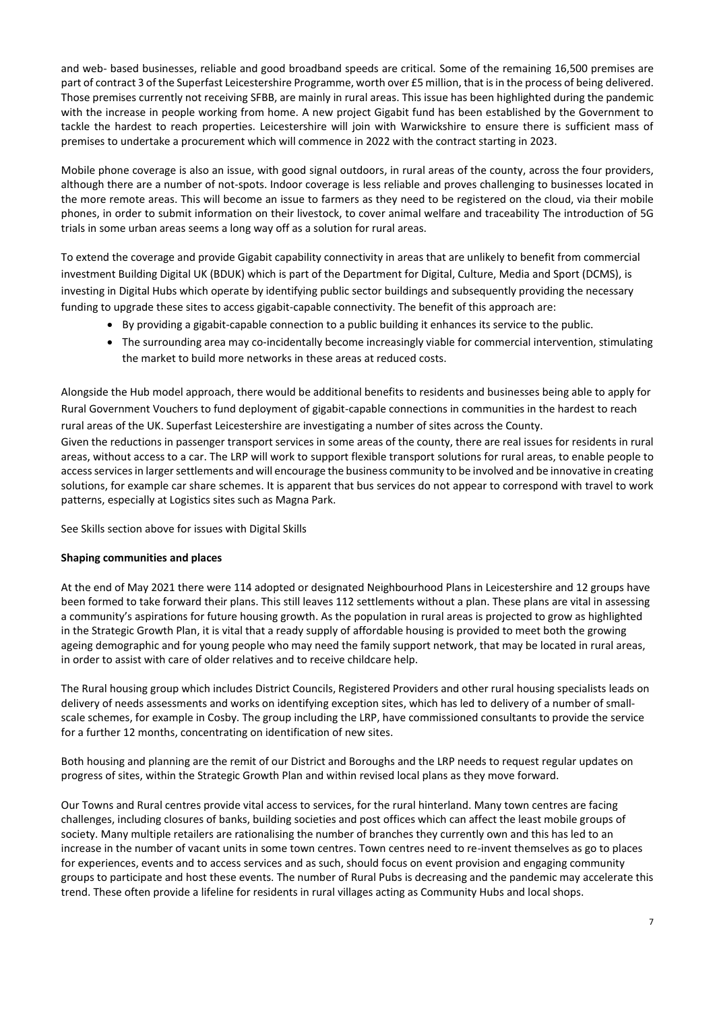and web- based businesses, reliable and good broadband speeds are critical. Some of the remaining 16,500 premises are part of contract 3 of the Superfast Leicestershire Programme, worth over £5 million, that is in the process of being delivered. Those premises currently not receiving SFBB, are mainly in rural areas. This issue has been highlighted during the pandemic with the increase in people working from home. A new project Gigabit fund has been established by the Government to tackle the hardest to reach properties. Leicestershire will join with Warwickshire to ensure there is sufficient mass of premises to undertake a procurement which will commence in 2022 with the contract starting in 2023.

Mobile phone coverage is also an issue, with good signal outdoors, in rural areas of the county, across the four providers, although there are a number of not-spots. Indoor coverage is less reliable and proves challenging to businesses located in the more remote areas. This will become an issue to farmers as they need to be registered on the cloud, via their mobile phones, in order to submit information on their livestock, to cover animal welfare and traceability The introduction of 5G trials in some urban areas seems a long way off as a solution for rural areas.

To extend the coverage and provide Gigabit capability connectivity in areas that are unlikely to benefit from commercial investment Building Digital UK (BDUK) which is part of the Department for Digital, Culture, Media and Sport (DCMS), is investing in Digital Hubs which operate by identifying public sector buildings and subsequently providing the necessary funding to upgrade these sites to access gigabit-capable connectivity. The benefit of this approach are:

- By providing a gigabit-capable connection to a public building it enhances its service to the public.
- The surrounding area may co-incidentally become increasingly viable for commercial intervention, stimulating the market to build more networks in these areas at reduced costs.

Alongside the Hub model approach, there would be additional benefits to residents and businesses being able to apply for Rural Government Vouchers to fund deployment of gigabit-capable connections in communities in the hardest to reach rural areas of the UK. Superfast Leicestershire are investigating a number of sites across the County. Given the reductions in passenger transport services in some areas of the county, there are real issues for residents in rural

areas, without access to a car. The LRP will work to support flexible transport solutions for rural areas, to enable people to access services in larger settlements and will encourage the business community to be involved and be innovative in creating solutions, for example car share schemes. It is apparent that bus services do not appear to correspond with travel to work patterns, especially at Logistics sites such as Magna Park.

See Skills section above for issues with Digital Skills

# **Shaping communities and places**

At the end of May 2021 there were 114 adopted or designated Neighbourhood Plans in Leicestershire and 12 groups have been formed to take forward their plans. This still leaves 112 settlements without a plan. These plans are vital in assessing a community's aspirations for future housing growth. As the population in rural areas is projected to grow as highlighted in the Strategic Growth Plan, it is vital that a ready supply of affordable housing is provided to meet both the growing ageing demographic and for young people who may need the family support network, that may be located in rural areas, in order to assist with care of older relatives and to receive childcare help.

The Rural housing group which includes District Councils, Registered Providers and other rural housing specialists leads on delivery of needs assessments and works on identifying exception sites, which has led to delivery of a number of smallscale schemes, for example in Cosby. The group including the LRP, have commissioned consultants to provide the service for a further 12 months, concentrating on identification of new sites.

Both housing and planning are the remit of our District and Boroughs and the LRP needs to request regular updates on progress of sites, within the Strategic Growth Plan and within revised local plans as they move forward.

Our Towns and Rural centres provide vital access to services, for the rural hinterland. Many town centres are facing challenges, including closures of banks, building societies and post offices which can affect the least mobile groups of society. Many multiple retailers are rationalising the number of branches they currently own and this has led to an increase in the number of vacant units in some town centres. Town centres need to re-invent themselves as go to places for experiences, events and to access services and as such, should focus on event provision and engaging community groups to participate and host these events. The number of Rural Pubs is decreasing and the pandemic may accelerate this trend. These often provide a lifeline for residents in rural villages acting as Community Hubs and local shops.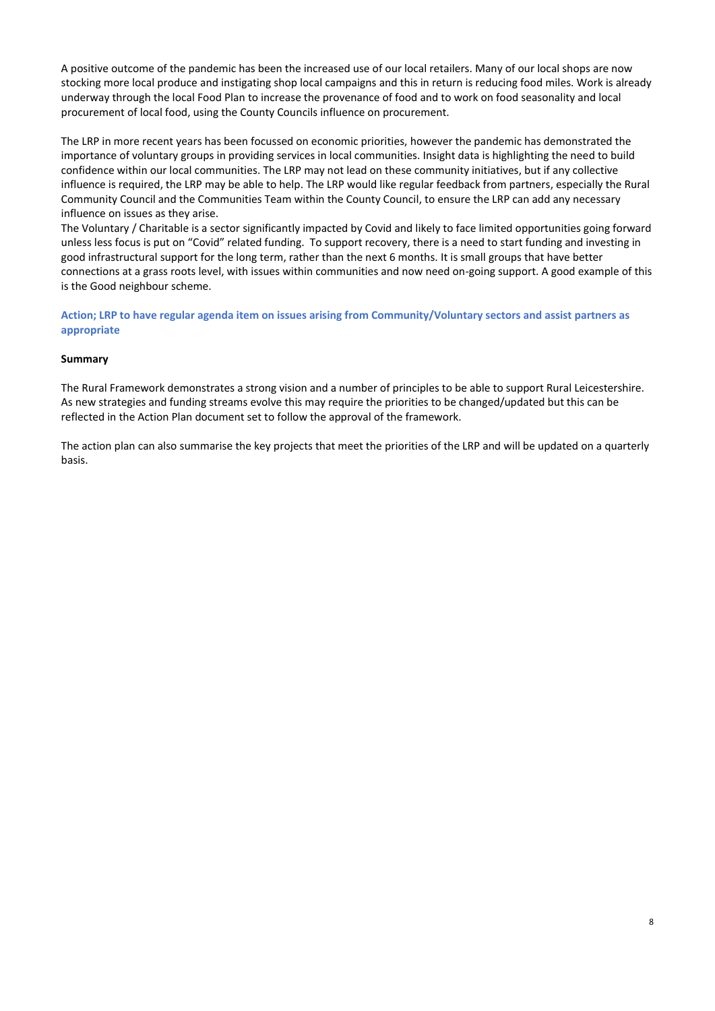8

A positive outcome of the pandemic has been the increased use of our local retailers. Many of our local shops are now stocking more local produce and instigating shop local campaigns and this in return is reducing food miles. Work is already underway through the local Food Plan to increase the provenance of food and to work on food seasonality and local procurement of local food, using the County Councils influence on procurement.

The LRP in more recent years has been focussed on economic priorities, however the pandemic has demonstrated the importance of voluntary groups in providing services in local communities. Insight data is highlighting the need to build confidence within our local communities. The LRP may not lead on these community initiatives, but if any collective influence is required, the LRP may be able to help. The LRP would like regular feedback from partners, especially the Rural Community Council and the Communities Team within the County Council, to ensure the LRP can add any necessary influence on issues as they arise.

The Voluntary / Charitable is a sector significantly impacted by Covid and likely to face limited opportunities going forward unless less focus is put on "Covid" related funding. To support recovery, there is a need to start funding and investing in good infrastructural support for the long term, rather than the next 6 months. It is small groups that have better connections at a grass roots level, with issues within communities and now need on-going support. A good example of this is the Good neighbour scheme.

**Action; LRP to have regular agenda item on issues arising from Community/Voluntary sectors and assist partners as appropriate**

### **Summary**

The Rural Framework demonstrates a strong vision and a number of principles to be able to support Rural Leicestershire. As new strategies and funding streams evolve this may require the priorities to be changed/updated but this can be reflected in the Action Plan document set to follow the approval of the framework.

The action plan can also summarise the key projects that meet the priorities of the LRP and will be updated on a quarterly basis.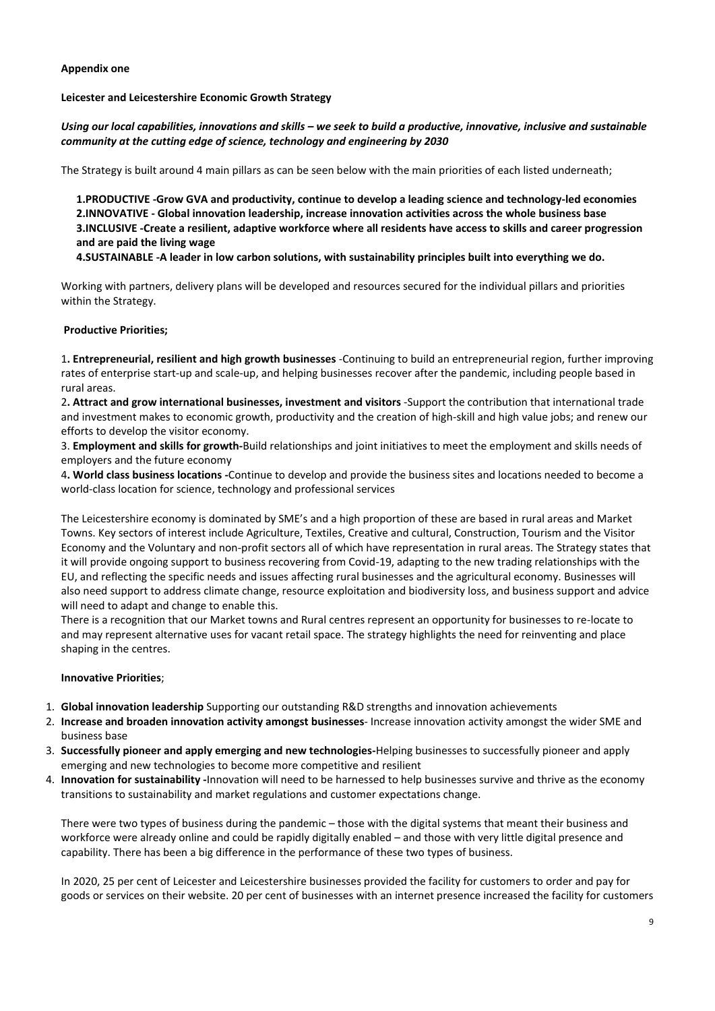# **Appendix one**

### **Leicester and Leicestershire Economic Growth Strategy**

*Using our local capabilities, innovations and skills – we seek to build a productive, innovative, inclusive and sustainable community at the cutting edge of science, technology and engineering by 2030*

The Strategy is built around 4 main pillars as can be seen below with the main priorities of each listed underneath;

**1.PRODUCTIVE -Grow GVA and productivity, continue to develop a leading science and technology-led economies 2.INNOVATIVE - Global innovation leadership, increase innovation activities across the whole business base 3.INCLUSIVE -Create a resilient, adaptive workforce where all residents have access to skills and career progression and are paid the living wage** 

**4.SUSTAINABLE -A leader in low carbon solutions, with sustainability principles built into everything we do.**

Working with partners, delivery plans will be developed and resources secured for the individual pillars and priorities within the Strategy.

### **Productive Priorities;**

1**. Entrepreneurial, resilient and high growth businesses** -Continuing to build an entrepreneurial region, further improving rates of enterprise start-up and scale-up, and helping businesses recover after the pandemic, including people based in rural areas.

2**. Attract and grow international businesses, investment and visitors** -Support the contribution that international trade and investment makes to economic growth, productivity and the creation of high-skill and high value jobs; and renew our efforts to develop the visitor economy.

3. **Employment and skills for growth-**Build relationships and joint initiatives to meet the employment and skills needs of employers and the future economy

4**. World class business locations -**Continue to develop and provide the business sites and locations needed to become a world-class location for science, technology and professional services

The Leicestershire economy is dominated by SME's and a high proportion of these are based in rural areas and Market Towns. Key sectors of interest include Agriculture, Textiles, Creative and cultural, Construction, Tourism and the Visitor Economy and the Voluntary and non-profit sectors all of which have representation in rural areas. The Strategy states that it will provide ongoing support to business recovering from Covid-19, adapting to the new trading relationships with the EU, and reflecting the specific needs and issues affecting rural businesses and the agricultural economy. Businesses will also need support to address climate change, resource exploitation and biodiversity loss, and business support and advice will need to adapt and change to enable this.

There is a recognition that our Market towns and Rural centres represent an opportunity for businesses to re-locate to and may represent alternative uses for vacant retail space. The strategy highlights the need for reinventing and place shaping in the centres.

#### **Innovative Priorities**;

- 1. **Global innovation leadership** Supporting our outstanding R&D strengths and innovation achievements
- 2. **Increase and broaden innovation activity amongst businesses** Increase innovation activity amongst the wider SME and business base
- 3. **Successfully pioneer and apply emerging and new technologies-**Helping businesses to successfully pioneer and apply
	- emerging and new technologies to become more competitive and resilient
- 4. **Innovation for sustainability -**Innovation will need to be harnessed to help businesses survive and thrive as the economy transitions to sustainability and market regulations and customer expectations change.

There were two types of business during the pandemic – those with the digital systems that meant their business and workforce were already online and could be rapidly digitally enabled – and those with very little digital presence and capability. There has been a big difference in the performance of these two types of business.

In 2020, 25 per cent of Leicester and Leicestershire businesses provided the facility for customers to order and pay for goods or services on their website. 20 per cent of businesses with an internet presence increased the facility for customers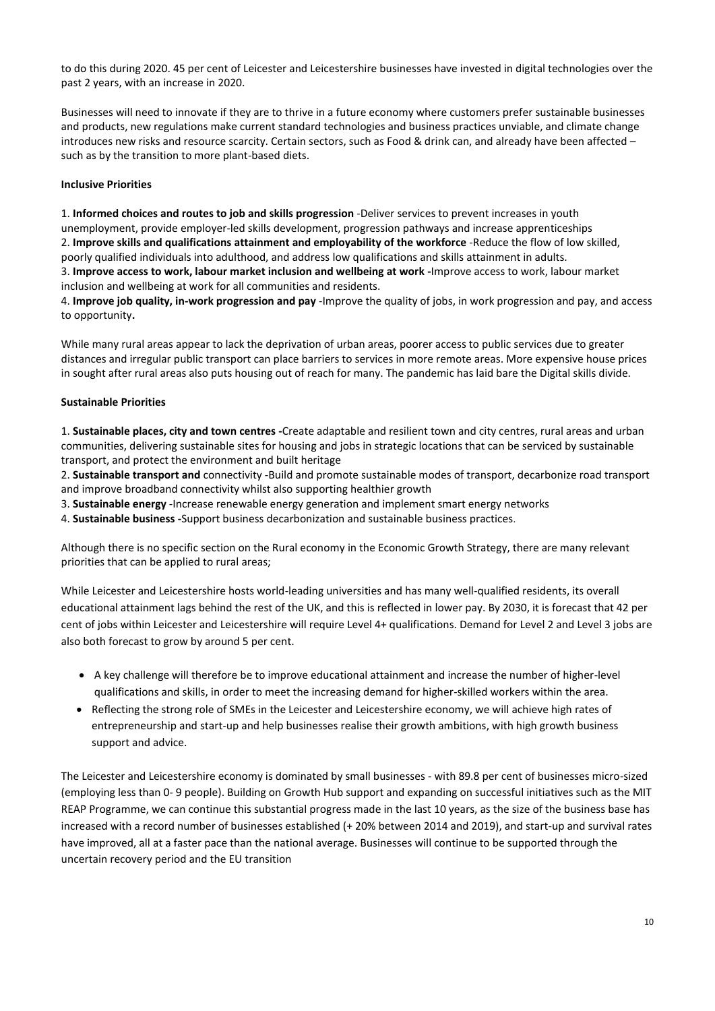to do this during 2020. 45 per cent of Leicester and Leicestershire businesses have invested in digital technologies over the past 2 years, with an increase in 2020.

Businesses will need to innovate if they are to thrive in a future economy where customers prefer sustainable businesses and products, new regulations make current standard technologies and business practices unviable, and climate change introduces new risks and resource scarcity. Certain sectors, such as Food & drink can, and already have been affected – such as by the transition to more plant-based diets.

# **Inclusive Priorities**

1. **Informed choices and routes to job and skills progression** -Deliver services to prevent increases in youth unemployment, provide employer-led skills development, progression pathways and increase apprenticeships

2. **Improve skills and qualifications attainment and employability of the workforce** -Reduce the flow of low skilled, poorly qualified individuals into adulthood, and address low qualifications and skills attainment in adults.

3. **Improve access to work, labour market inclusion and wellbeing at work -**Improve access to work, labour market inclusion and wellbeing at work for all communities and residents.

4. **Improve job quality, in-work progression and pay** -Improve the quality of jobs, in work progression and pay, and access to opportunity**.**

While many rural areas appear to lack the deprivation of urban areas, poorer access to public services due to greater distances and irregular public transport can place barriers to services in more remote areas. More expensive house prices in sought after rural areas also puts housing out of reach for many. The pandemic has laid bare the Digital skills divide.

# **Sustainable Priorities**

1. **Sustainable places, city and town centres -**Create adaptable and resilient town and city centres, rural areas and urban communities, delivering sustainable sites for housing and jobs in strategic locations that can be serviced by sustainable transport, and protect the environment and built heritage

2. **Sustainable transport and** connectivity -Build and promote sustainable modes of transport, decarbonize road transport and improve broadband connectivity whilst also supporting healthier growth

3. **Sustainable energy** -Increase renewable energy generation and implement smart energy networks

4. **Sustainable business -**Support business decarbonization and sustainable business practices.

Although there is no specific section on the Rural economy in the Economic Growth Strategy, there are many relevant priorities that can be applied to rural areas;

While Leicester and Leicestershire hosts world-leading universities and has many well-qualified residents, its overall educational attainment lags behind the rest of the UK, and this is reflected in lower pay. By 2030, it is forecast that 42 per cent of jobs within Leicester and Leicestershire will require Level 4+ qualifications. Demand for Level 2 and Level 3 jobs are also both forecast to grow by around 5 per cent.

- A key challenge will therefore be to improve educational attainment and increase the number of higher-level qualifications and skills, in order to meet the increasing demand for higher-skilled workers within the area.
- Reflecting the strong role of SMEs in the Leicester and Leicestershire economy, we will achieve high rates of entrepreneurship and start-up and help businesses realise their growth ambitions, with high growth business support and advice.

The Leicester and Leicestershire economy is dominated by small businesses - with 89.8 per cent of businesses micro-sized (employing less than 0- 9 people). Building on Growth Hub support and expanding on successful initiatives such as the MIT REAP Programme, we can continue this substantial progress made in the last 10 years, as the size of the business base has increased with a record number of businesses established (+ 20% between 2014 and 2019), and start-up and survival rates have improved, all at a faster pace than the national average. Businesses will continue to be supported through the uncertain recovery period and the EU transition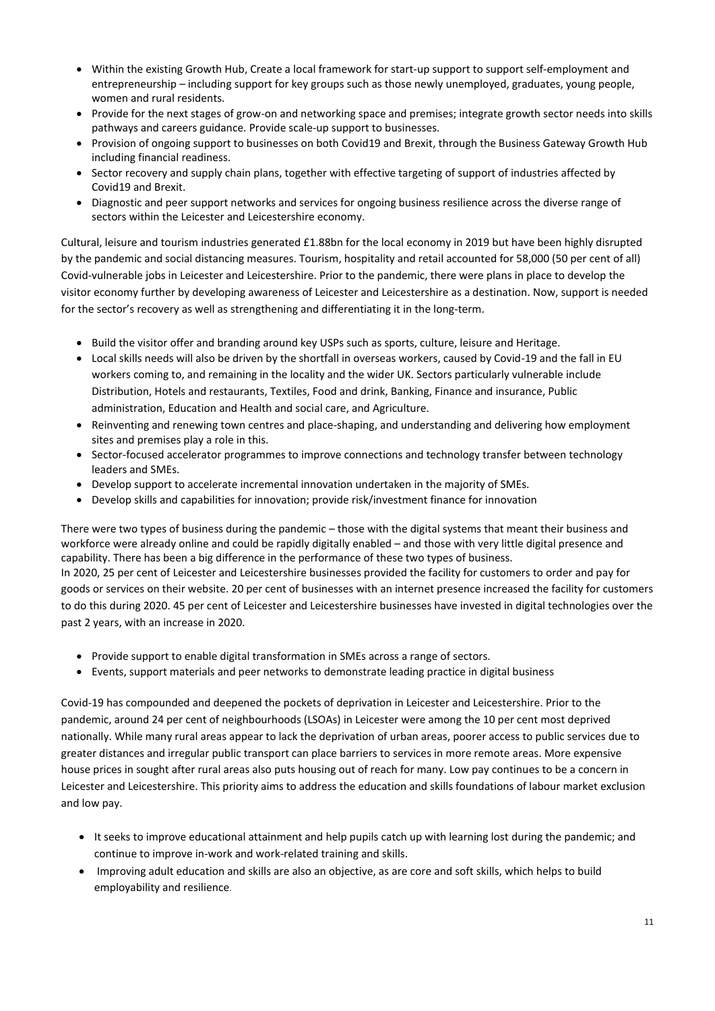- Within the existing Growth Hub, Create a local framework for start-up support to support self-employment and entrepreneurship – including support for key groups such as those newly unemployed, graduates, young people, women and rural residents.
- Provide for the next stages of grow-on and networking space and premises; integrate growth sector needs into skills pathways and careers guidance. Provide scale-up support to businesses.
- Provision of ongoing support to businesses on both Covid19 and Brexit, through the Business Gateway Growth Hub including financial readiness.
- Sector recovery and supply chain plans, together with effective targeting of support of industries affected by Covid19 and Brexit.
- Diagnostic and peer support networks and services for ongoing business resilience across the diverse range of sectors within the Leicester and Leicestershire economy.

Cultural, leisure and tourism industries generated £1.88bn for the local economy in 2019 but have been highly disrupted by the pandemic and social distancing measures. Tourism, hospitality and retail accounted for 58,000 (50 per cent of all) Covid-vulnerable jobs in Leicester and Leicestershire. Prior to the pandemic, there were plans in place to develop the visitor economy further by developing awareness of Leicester and Leicestershire as a destination. Now, support is needed for the sector's recovery as well as strengthening and differentiating it in the long-term.

- Build the visitor offer and branding around key USPs such as sports, culture, leisure and Heritage.
- Local skills needs will also be driven by the shortfall in overseas workers, caused by Covid-19 and the fall in EU workers coming to, and remaining in the locality and the wider UK. Sectors particularly vulnerable include Distribution, Hotels and restaurants, Textiles, Food and drink, Banking, Finance and insurance, Public administration, Education and Health and social care, and Agriculture.
- Reinventing and renewing town centres and place-shaping, and understanding and delivering how employment sites and premises play a role in this.
- Sector-focused accelerator programmes to improve connections and technology transfer between technology leaders and SMEs.
- Develop support to accelerate incremental innovation undertaken in the majority of SMEs.
- Develop skills and capabilities for innovation; provide risk/investment finance for innovation

There were two types of business during the pandemic – those with the digital systems that meant their business and workforce were already online and could be rapidly digitally enabled – and those with very little digital presence and capability. There has been a big difference in the performance of these two types of business. In 2020, 25 per cent of Leicester and Leicestershire businesses provided the facility for customers to order and pay for goods or services on their website. 20 per cent of businesses with an internet presence increased the facility for customers to do this during 2020. 45 per cent of Leicester and Leicestershire businesses have invested in digital technologies over the past 2 years, with an increase in 2020.

- Provide support to enable digital transformation in SMEs across a range of sectors.
- Events, support materials and peer networks to demonstrate leading practice in digital business

Covid-19 has compounded and deepened the pockets of deprivation in Leicester and Leicestershire. Prior to the pandemic, around 24 per cent of neighbourhoods (LSOAs) in Leicester were among the 10 per cent most deprived nationally. While many rural areas appear to lack the deprivation of urban areas, poorer access to public services due to greater distances and irregular public transport can place barriers to services in more remote areas. More expensive

house prices in sought after rural areas also puts housing out of reach for many. Low pay continues to be a concern in Leicester and Leicestershire. This priority aims to address the education and skills foundations of labour market exclusion and low pay.

- It seeks to improve educational attainment and help pupils catch up with learning lost during the pandemic; and continue to improve in-work and work-related training and skills.
- Improving adult education and skills are also an objective, as are core and soft skills, which helps to build employability and resilience.